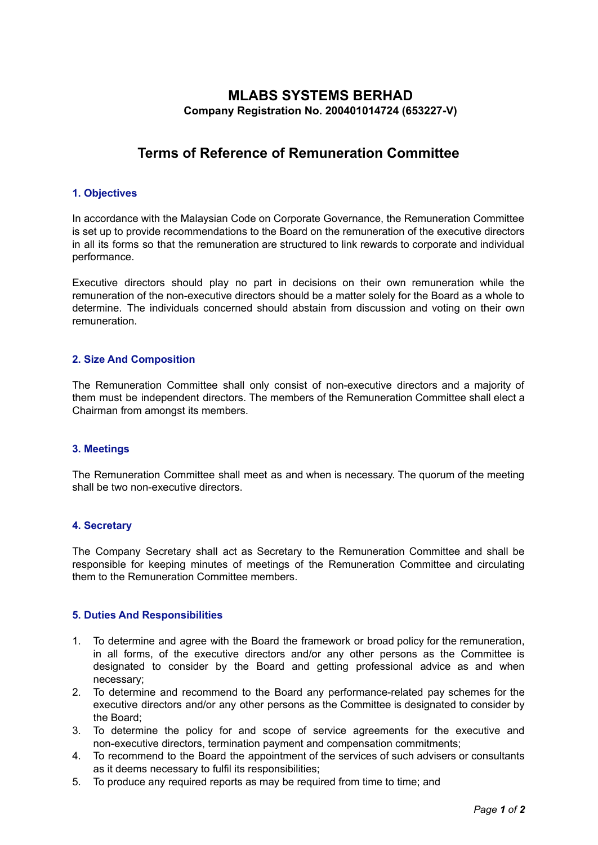# **MLABS SYSTEMS BERHAD Company Registration No. 200401014724 (653227-V)**

# **Terms of Reference of Remuneration Committee**

# **1. Objectives**

In accordance with the Malaysian Code on Corporate Governance, the Remuneration Committee is set up to provide recommendations to the Board on the remuneration of the executive directors in all its forms so that the remuneration are structured to link rewards to corporate and individual performance.

Executive directors should play no part in decisions on their own remuneration while the remuneration of the non-executive directors should be a matter solely for the Board as a whole to determine. The individuals concerned should abstain from discussion and voting on their own remuneration.

# **2. Size And Composition**

The Remuneration Committee shall only consist of non-executive directors and a majority of them must be independent directors. The members of the Remuneration Committee shall elect a Chairman from amongst its members.

#### **3. Meetings**

The Remuneration Committee shall meet as and when is necessary. The quorum of the meeting shall be two non-executive directors.

#### **4. Secretary**

The Company Secretary shall act as Secretary to the Remuneration Committee and shall be responsible for keeping minutes of meetings of the Remuneration Committee and circulating them to the Remuneration Committee members.

#### **5. Duties And Responsibilities**

- 1. To determine and agree with the Board the framework or broad policy for the remuneration, in all forms, of the executive directors and/or any other persons as the Committee is designated to consider by the Board and getting professional advice as and when necessary;
- 2. To determine and recommend to the Board any performance-related pay schemes for the executive directors and/or any other persons as the Committee is designated to consider by the Board;
- 3. To determine the policy for and scope of service agreements for the executive and non-executive directors, termination payment and compensation commitments;
- 4. To recommend to the Board the appointment of the services of such advisers or consultants as it deems necessary to fulfil its responsibilities;
- 5. To produce any required reports as may be required from time to time; and